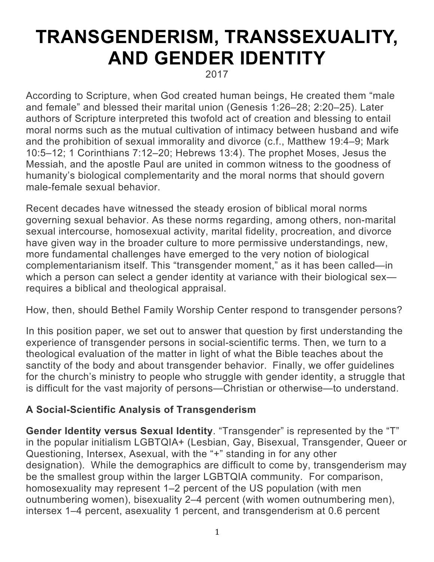# **TRANSGENDERISM, TRANSSEXUALITY, AND GENDER IDENTITY**

2017

According to Scripture, when God created human beings, He created them "male and female" and blessed their marital union (Genesis 1:26–28; 2:20–25). Later authors of Scripture interpreted this twofold act of creation and blessing to entail moral norms such as the mutual cultivation of intimacy between husband and wife and the prohibition of sexual immorality and divorce (c.f., Matthew 19:4–9; Mark 10:5–12; 1 Corinthians 7:12–20; Hebrews 13:4). The prophet Moses, Jesus the Messiah, and the apostle Paul are united in common witness to the goodness of humanity's biological complementarity and the moral norms that should govern male-female sexual behavior.

Recent decades have witnessed the steady erosion of biblical moral norms governing sexual behavior. As these norms regarding, among others, non-marital sexual intercourse, homosexual activity, marital fidelity, procreation, and divorce have given way in the broader culture to more permissive understandings, new, more fundamental challenges have emerged to the very notion of biological complementarianism itself. This "transgender moment," as it has been called—in which a person can select a gender identity at variance with their biological sex requires a biblical and theological appraisal.

How, then, should Bethel Family Worship Center respond to transgender persons?

In this position paper, we set out to answer that question by first understanding the experience of transgender persons in social-scientific terms. Then, we turn to a theological evaluation of the matter in light of what the Bible teaches about the sanctity of the body and about transgender behavior. Finally, we offer guidelines for the church's ministry to people who struggle with gender identity, a struggle that is difficult for the vast majority of persons—Christian or otherwise—to understand.

## **A Social-Scientific Analysis of Transgenderism**

**Gender Identity versus Sexual Identity**. "Transgender" is represented by the "T" in the popular initialism LGBTQIA+ (Lesbian, Gay, Bisexual, Transgender, Queer or Questioning, Intersex, Asexual, with the "+" standing in for any other designation). While the demographics are difficult to come by, transgenderism may be the smallest group within the larger LGBTQIA community. For comparison, homosexuality may represent 1–2 percent of the US population (with men outnumbering women), bisexuality 2–4 percent (with women outnumbering men), intersex 1–4 percent, asexuality 1 percent, and transgenderism at 0.6 percent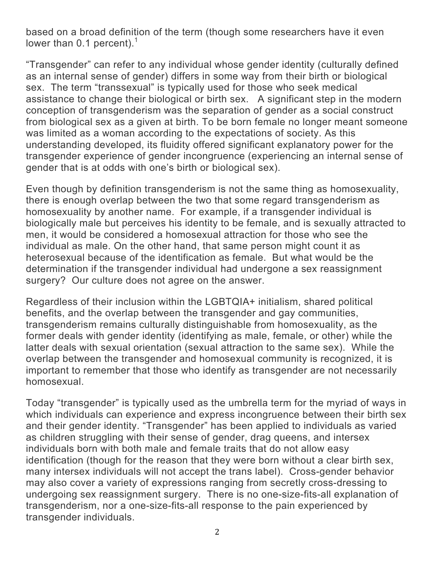based on a broad definition of the term (though some researchers have it even lower than 0.1 percent). $<sup>1</sup>$ </sup>

"Transgender" can refer to any individual whose gender identity (culturally defined as an internal sense of gender) differs in some way from their birth or biological sex. The term "transsexual" is typically used for those who seek medical assistance to change their biological or birth sex. A significant step in the modern conception of transgenderism was the separation of gender as a social construct from biological sex as a given at birth. To be born female no longer meant someone was limited as a woman according to the expectations of society. As this understanding developed, its fluidity offered significant explanatory power for the transgender experience of gender incongruence (experiencing an internal sense of gender that is at odds with one's birth or biological sex).

Even though by definition transgenderism is not the same thing as homosexuality, there is enough overlap between the two that some regard transgenderism as homosexuality by another name. For example, if a transgender individual is biologically male but perceives his identity to be female, and is sexually attracted to men, it would be considered a homosexual attraction for those who see the individual as male. On the other hand, that same person might count it as heterosexual because of the identification as female. But what would be the determination if the transgender individual had undergone a sex reassignment surgery? Our culture does not agree on the answer.

Regardless of their inclusion within the LGBTQIA+ initialism, shared political benefits, and the overlap between the transgender and gay communities, transgenderism remains culturally distinguishable from homosexuality, as the former deals with gender identity (identifying as male, female, or other) while the latter deals with sexual orientation (sexual attraction to the same sex). While the overlap between the transgender and homosexual community is recognized, it is important to remember that those who identify as transgender are not necessarily homosexual.

Today "transgender" is typically used as the umbrella term for the myriad of ways in which individuals can experience and express incongruence between their birth sex and their gender identity. "Transgender" has been applied to individuals as varied as children struggling with their sense of gender, drag queens, and intersex individuals born with both male and female traits that do not allow easy identification (though for the reason that they were born without a clear birth sex, many intersex individuals will not accept the trans label). Cross-gender behavior may also cover a variety of expressions ranging from secretly cross-dressing to undergoing sex reassignment surgery. There is no one-size-fits-all explanation of transgenderism, nor a one-size-fits-all response to the pain experienced by transgender individuals.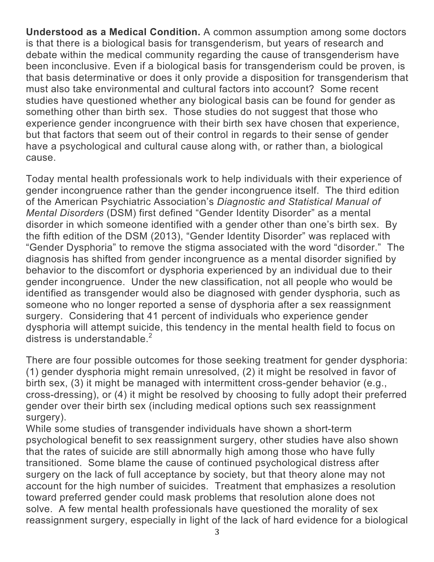**Understood as a Medical Condition.** A common assumption among some doctors is that there is a biological basis for transgenderism, but years of research and debate within the medical community regarding the cause of transgenderism have been inconclusive. Even if a biological basis for transgenderism could be proven, is that basis determinative or does it only provide a disposition for transgenderism that must also take environmental and cultural factors into account? Some recent studies have questioned whether any biological basis can be found for gender as something other than birth sex. Those studies do not suggest that those who experience gender incongruence with their birth sex have chosen that experience, but that factors that seem out of their control in regards to their sense of gender have a psychological and cultural cause along with, or rather than, a biological cause.

Today mental health professionals work to help individuals with their experience of gender incongruence rather than the gender incongruence itself. The third edition of the American Psychiatric Association's *Diagnostic and Statistical Manual of Mental Disorders* (DSM) first defined "Gender Identity Disorder" as a mental disorder in which someone identified with a gender other than one's birth sex. By the fifth edition of the DSM (2013), "Gender Identity Disorder" was replaced with "Gender Dysphoria" to remove the stigma associated with the word "disorder." The diagnosis has shifted from gender incongruence as a mental disorder signified by behavior to the discomfort or dysphoria experienced by an individual due to their gender incongruence. Under the new classification, not all people who would be identified as transgender would also be diagnosed with gender dysphoria, such as someone who no longer reported a sense of dysphoria after a sex reassignment surgery. Considering that 41 percent of individuals who experience gender dysphoria will attempt suicide, this tendency in the mental health field to focus on distress is understandable. $2$ 

There are four possible outcomes for those seeking treatment for gender dysphoria: (1) gender dysphoria might remain unresolved, (2) it might be resolved in favor of birth sex, (3) it might be managed with intermittent cross-gender behavior (e.g., cross-dressing), or (4) it might be resolved by choosing to fully adopt their preferred gender over their birth sex (including medical options such sex reassignment surgery).

While some studies of transgender individuals have shown a short-term psychological benefit to sex reassignment surgery, other studies have also shown that the rates of suicide are still abnormally high among those who have fully transitioned. Some blame the cause of continued psychological distress after surgery on the lack of full acceptance by society, but that theory alone may not account for the high number of suicides. Treatment that emphasizes a resolution toward preferred gender could mask problems that resolution alone does not solve. A few mental health professionals have questioned the morality of sex reassignment surgery, especially in light of the lack of hard evidence for a biological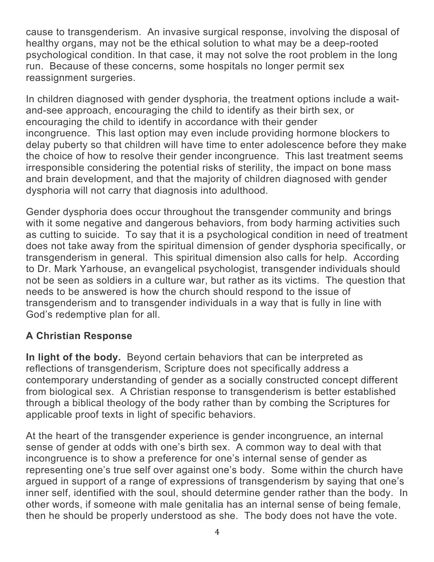cause to transgenderism. An invasive surgical response, involving the disposal of healthy organs, may not be the ethical solution to what may be a deep-rooted psychological condition. In that case, it may not solve the root problem in the long run. Because of these concerns, some hospitals no longer permit sex reassignment surgeries.

In children diagnosed with gender dysphoria, the treatment options include a waitand-see approach, encouraging the child to identify as their birth sex, or encouraging the child to identify in accordance with their gender incongruence. This last option may even include providing hormone blockers to delay puberty so that children will have time to enter adolescence before they make the choice of how to resolve their gender incongruence. This last treatment seems irresponsible considering the potential risks of sterility, the impact on bone mass and brain development, and that the majority of children diagnosed with gender dysphoria will not carry that diagnosis into adulthood.

Gender dysphoria does occur throughout the transgender community and brings with it some negative and dangerous behaviors, from body harming activities such as cutting to suicide. To say that it is a psychological condition in need of treatment does not take away from the spiritual dimension of gender dysphoria specifically, or transgenderism in general. This spiritual dimension also calls for help. According to Dr. Mark Yarhouse, an evangelical psychologist, transgender individuals should not be seen as soldiers in a culture war, but rather as its victims. The question that needs to be answered is how the church should respond to the issue of transgenderism and to transgender individuals in a way that is fully in line with God's redemptive plan for all.

### **A Christian Response**

**In light of the body.** Beyond certain behaviors that can be interpreted as reflections of transgenderism, Scripture does not specifically address a contemporary understanding of gender as a socially constructed concept different from biological sex. A Christian response to transgenderism is better established through a biblical theology of the body rather than by combing the Scriptures for applicable proof texts in light of specific behaviors.

At the heart of the transgender experience is gender incongruence, an internal sense of gender at odds with one's birth sex. A common way to deal with that incongruence is to show a preference for one's internal sense of gender as representing one's true self over against one's body. Some within the church have argued in support of a range of expressions of transgenderism by saying that one's inner self, identified with the soul, should determine gender rather than the body. In other words, if someone with male genitalia has an internal sense of being female, then he should be properly understood as she. The body does not have the vote.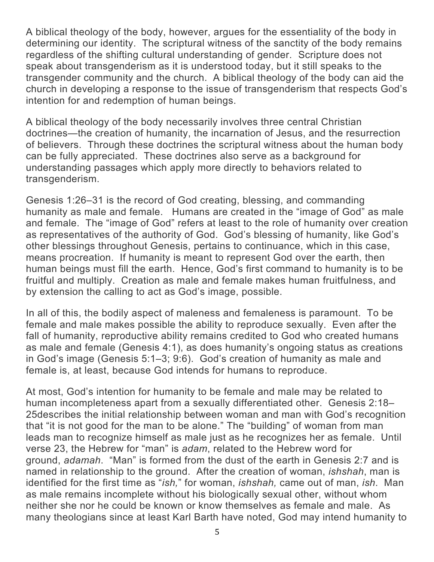A biblical theology of the body, however, argues for the essentiality of the body in determining our identity. The scriptural witness of the sanctity of the body remains regardless of the shifting cultural understanding of gender. Scripture does not speak about transgenderism as it is understood today, but it still speaks to the transgender community and the church. A biblical theology of the body can aid the church in developing a response to the issue of transgenderism that respects God's intention for and redemption of human beings.

A biblical theology of the body necessarily involves three central Christian doctrines—the creation of humanity, the incarnation of Jesus, and the resurrection of believers. Through these doctrines the scriptural witness about the human body can be fully appreciated. These doctrines also serve as a background for understanding passages which apply more directly to behaviors related to transgenderism.

Genesis 1:26–31 is the record of God creating, blessing, and commanding humanity as male and female. Humans are created in the "image of God" as male and female. The "image of God" refers at least to the role of humanity over creation as representatives of the authority of God. God's blessing of humanity, like God's other blessings throughout Genesis, pertains to continuance, which in this case, means procreation. If humanity is meant to represent God over the earth, then human beings must fill the earth. Hence, God's first command to humanity is to be fruitful and multiply. Creation as male and female makes human fruitfulness, and by extension the calling to act as God's image, possible.

In all of this, the bodily aspect of maleness and femaleness is paramount. To be female and male makes possible the ability to reproduce sexually. Even after the fall of humanity, reproductive ability remains credited to God who created humans as male and female (Genesis 4:1), as does humanity's ongoing status as creations in God's image (Genesis 5:1–3; 9:6). God's creation of humanity as male and female is, at least, because God intends for humans to reproduce.

At most, God's intention for humanity to be female and male may be related to human incompleteness apart from a sexually differentiated other. Genesis 2:18– 25describes the initial relationship between woman and man with God's recognition that "it is not good for the man to be alone." The "building" of woman from man leads man to recognize himself as male just as he recognizes her as female. Until verse 23, the Hebrew for "man" is *adam*, related to the Hebrew word for ground, *adamah*. "Man" is formed from the dust of the earth in Genesis 2:7 and is named in relationship to the ground. After the creation of woman, *ishshah*, man is identified for the first time as "*ish,*" for woman, *ishshah,* came out of man, *ish*. Man as male remains incomplete without his biologically sexual other, without whom neither she nor he could be known or know themselves as female and male. As many theologians since at least Karl Barth have noted, God may intend humanity to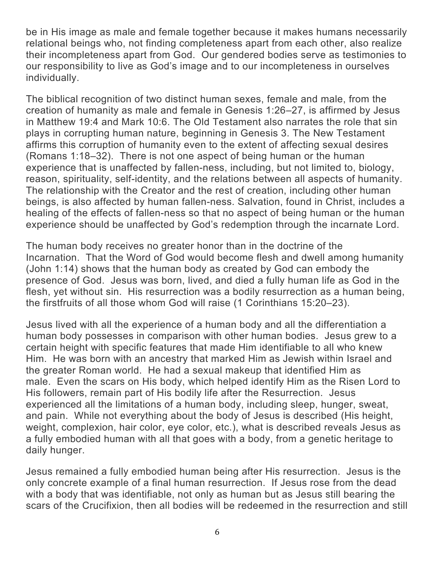be in His image as male and female together because it makes humans necessarily relational beings who, not finding completeness apart from each other, also realize their incompleteness apart from God. Our gendered bodies serve as testimonies to our responsibility to live as God's image and to our incompleteness in ourselves individually.

The biblical recognition of two distinct human sexes, female and male, from the creation of humanity as male and female in Genesis 1:26–27, is affirmed by Jesus in Matthew 19:4 and Mark 10:6. The Old Testament also narrates the role that sin plays in corrupting human nature, beginning in Genesis 3. The New Testament affirms this corruption of humanity even to the extent of affecting sexual desires (Romans 1:18–32). There is not one aspect of being human or the human experience that is unaffected by fallen-ness, including, but not limited to, biology, reason, spirituality, self-identity, and the relations between all aspects of humanity. The relationship with the Creator and the rest of creation, including other human beings, is also affected by human fallen-ness. Salvation, found in Christ, includes a healing of the effects of fallen-ness so that no aspect of being human or the human experience should be unaffected by God's redemption through the incarnate Lord.

The human body receives no greater honor than in the doctrine of the Incarnation. That the Word of God would become flesh and dwell among humanity (John 1:14) shows that the human body as created by God can embody the presence of God. Jesus was born, lived, and died a fully human life as God in the flesh, yet without sin. His resurrection was a bodily resurrection as a human being, the firstfruits of all those whom God will raise (1 Corinthians 15:20–23).

Jesus lived with all the experience of a human body and all the differentiation a human body possesses in comparison with other human bodies. Jesus grew to a certain height with specific features that made Him identifiable to all who knew Him. He was born with an ancestry that marked Him as Jewish within Israel and the greater Roman world. He had a sexual makeup that identified Him as male. Even the scars on His body, which helped identify Him as the Risen Lord to His followers, remain part of His bodily life after the Resurrection. Jesus experienced all the limitations of a human body, including sleep, hunger, sweat, and pain. While not everything about the body of Jesus is described (His height, weight, complexion, hair color, eye color, etc.), what is described reveals Jesus as a fully embodied human with all that goes with a body, from a genetic heritage to daily hunger.

Jesus remained a fully embodied human being after His resurrection. Jesus is the only concrete example of a final human resurrection. If Jesus rose from the dead with a body that was identifiable, not only as human but as Jesus still bearing the scars of the Crucifixion, then all bodies will be redeemed in the resurrection and still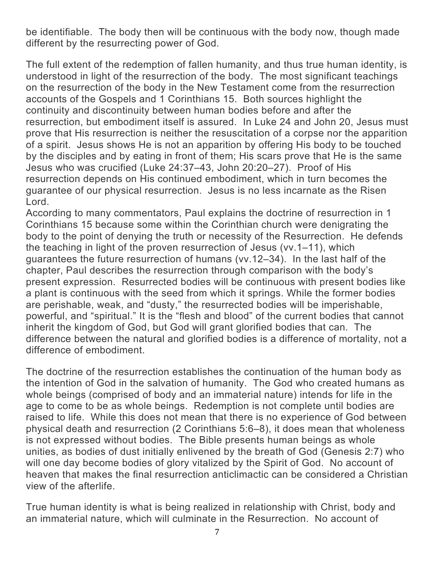be identifiable. The body then will be continuous with the body now, though made different by the resurrecting power of God.

The full extent of the redemption of fallen humanity, and thus true human identity, is understood in light of the resurrection of the body. The most significant teachings on the resurrection of the body in the New Testament come from the resurrection accounts of the Gospels and 1 Corinthians 15. Both sources highlight the continuity and discontinuity between human bodies before and after the resurrection, but embodiment itself is assured. In Luke 24 and John 20, Jesus must prove that His resurrection is neither the resuscitation of a corpse nor the apparition of a spirit. Jesus shows He is not an apparition by offering His body to be touched by the disciples and by eating in front of them; His scars prove that He is the same Jesus who was crucified (Luke 24:37–43, John 20:20–27). Proof of His resurrection depends on His continued embodiment, which in turn becomes the guarantee of our physical resurrection. Jesus is no less incarnate as the Risen Lord.

According to many commentators, Paul explains the doctrine of resurrection in 1 Corinthians 15 because some within the Corinthian church were denigrating the body to the point of denying the truth or necessity of the Resurrection. He defends the teaching in light of the proven resurrection of Jesus (vv.1–11), which guarantees the future resurrection of humans (vv.12–34). In the last half of the chapter, Paul describes the resurrection through comparison with the body's present expression. Resurrected bodies will be continuous with present bodies like a plant is continuous with the seed from which it springs. While the former bodies are perishable, weak, and "dusty," the resurrected bodies will be imperishable, powerful, and "spiritual." It is the "flesh and blood" of the current bodies that cannot inherit the kingdom of God, but God will grant glorified bodies that can. The difference between the natural and glorified bodies is a difference of mortality, not a difference of embodiment.

The doctrine of the resurrection establishes the continuation of the human body as the intention of God in the salvation of humanity. The God who created humans as whole beings (comprised of body and an immaterial nature) intends for life in the age to come to be as whole beings. Redemption is not complete until bodies are raised to life. While this does not mean that there is no experience of God between physical death and resurrection (2 Corinthians 5:6–8), it does mean that wholeness is not expressed without bodies. The Bible presents human beings as whole unities, as bodies of dust initially enlivened by the breath of God (Genesis 2:7) who will one day become bodies of glory vitalized by the Spirit of God. No account of heaven that makes the final resurrection anticlimactic can be considered a Christian view of the afterlife.

True human identity is what is being realized in relationship with Christ, body and an immaterial nature, which will culminate in the Resurrection. No account of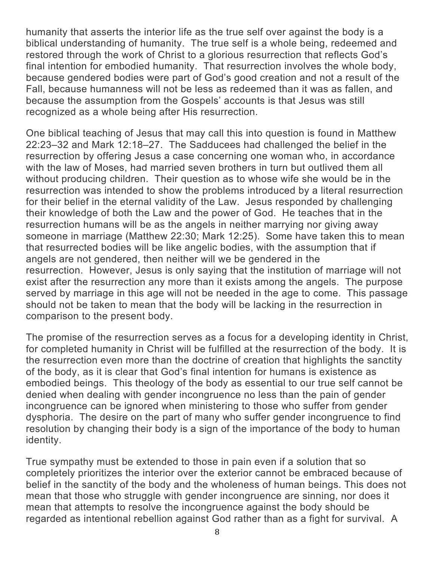humanity that asserts the interior life as the true self over against the body is a biblical understanding of humanity. The true self is a whole being, redeemed and restored through the work of Christ to a glorious resurrection that reflects God's final intention for embodied humanity. That resurrection involves the whole body, because gendered bodies were part of God's good creation and not a result of the Fall, because humanness will not be less as redeemed than it was as fallen, and because the assumption from the Gospels' accounts is that Jesus was still recognized as a whole being after His resurrection.

One biblical teaching of Jesus that may call this into question is found in Matthew 22:23–32 and Mark 12:18–27. The Sadducees had challenged the belief in the resurrection by offering Jesus a case concerning one woman who, in accordance with the law of Moses, had married seven brothers in turn but outlived them all without producing children. Their question as to whose wife she would be in the resurrection was intended to show the problems introduced by a literal resurrection for their belief in the eternal validity of the Law. Jesus responded by challenging their knowledge of both the Law and the power of God. He teaches that in the resurrection humans will be as the angels in neither marrying nor giving away someone in marriage (Matthew 22:30; Mark 12:25). Some have taken this to mean that resurrected bodies will be like angelic bodies, with the assumption that if angels are not gendered, then neither will we be gendered in the resurrection. However, Jesus is only saying that the institution of marriage will not exist after the resurrection any more than it exists among the angels. The purpose served by marriage in this age will not be needed in the age to come. This passage should not be taken to mean that the body will be lacking in the resurrection in comparison to the present body.

The promise of the resurrection serves as a focus for a developing identity in Christ, for completed humanity in Christ will be fulfilled at the resurrection of the body. It is the resurrection even more than the doctrine of creation that highlights the sanctity of the body, as it is clear that God's final intention for humans is existence as embodied beings. This theology of the body as essential to our true self cannot be denied when dealing with gender incongruence no less than the pain of gender incongruence can be ignored when ministering to those who suffer from gender dysphoria. The desire on the part of many who suffer gender incongruence to find resolution by changing their body is a sign of the importance of the body to human identity.

True sympathy must be extended to those in pain even if a solution that so completely prioritizes the interior over the exterior cannot be embraced because of belief in the sanctity of the body and the wholeness of human beings. This does not mean that those who struggle with gender incongruence are sinning, nor does it mean that attempts to resolve the incongruence against the body should be regarded as intentional rebellion against God rather than as a fight for survival. A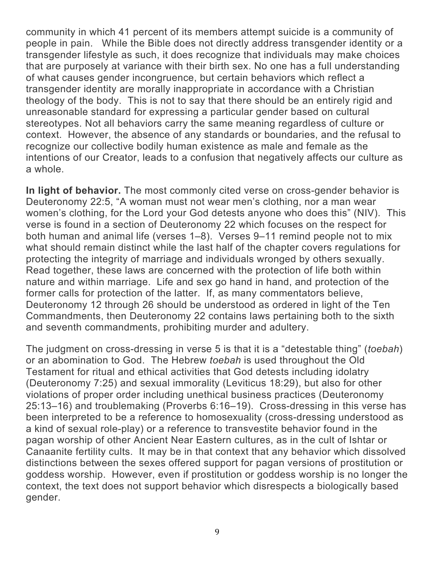community in which 41 percent of its members attempt suicide is a community of people in pain. While the Bible does not directly address transgender identity or a transgender lifestyle as such, it does recognize that individuals may make choices that are purposely at variance with their birth sex. No one has a full understanding of what causes gender incongruence, but certain behaviors which reflect a transgender identity are morally inappropriate in accordance with a Christian theology of the body. This is not to say that there should be an entirely rigid and unreasonable standard for expressing a particular gender based on cultural stereotypes. Not all behaviors carry the same meaning regardless of culture or context. However, the absence of any standards or boundaries, and the refusal to recognize our collective bodily human existence as male and female as the intentions of our Creator, leads to a confusion that negatively affects our culture as a whole.

**In light of behavior.** The most commonly cited verse on cross-gender behavior is Deuteronomy 22:5, "A woman must not wear men's clothing, nor a man wear women's clothing, for the Lord your God detests anyone who does this" (NIV). This verse is found in a section of Deuteronomy 22 which focuses on the respect for both human and animal life (verses 1–8). Verses 9–11 remind people not to mix what should remain distinct while the last half of the chapter covers regulations for protecting the integrity of marriage and individuals wronged by others sexually. Read together, these laws are concerned with the protection of life both within nature and within marriage. Life and sex go hand in hand, and protection of the former calls for protection of the latter. If, as many commentators believe, Deuteronomy 12 through 26 should be understood as ordered in light of the Ten Commandments, then Deuteronomy 22 contains laws pertaining both to the sixth and seventh commandments, prohibiting murder and adultery.

The judgment on cross-dressing in verse 5 is that it is a "detestable thing" (*toebah*) or an abomination to God. The Hebrew *toebah* is used throughout the Old Testament for ritual and ethical activities that God detests including idolatry (Deuteronomy 7:25) and sexual immorality (Leviticus 18:29), but also for other violations of proper order including unethical business practices (Deuteronomy 25:13–16) and troublemaking (Proverbs 6:16–19). Cross-dressing in this verse has been interpreted to be a reference to homosexuality (cross-dressing understood as a kind of sexual role-play) or a reference to transvestite behavior found in the pagan worship of other Ancient Near Eastern cultures, as in the cult of Ishtar or Canaanite fertility cults. It may be in that context that any behavior which dissolved distinctions between the sexes offered support for pagan versions of prostitution or goddess worship. However, even if prostitution or goddess worship is no longer the context, the text does not support behavior which disrespects a biologically based gender.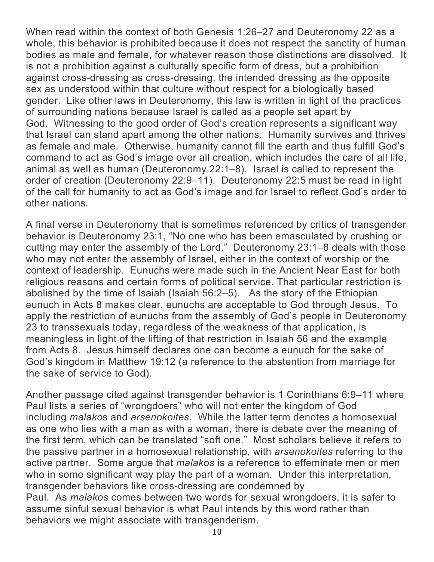When read within the context of both Genesis 1:26–27 and Deuteronomy 22 as a whole, this behavior is prohibited because it does not respect the sanctity of human bodies as male and female, for whatever reason those distinctions are dissolved. It is not a prohibition against a culturally specific form of dress, but a prohibition against cross-dressing as cross-dressing, the intended dressing as the opposite sex as understood within that culture without respect for a biologically based gender. Like other laws in Deuteronomy, this law is written in light of the practices of surrounding nations because Israel is called as a people set apart by God. Witnessing to the good order of God's creation represents a significant way that Israel can stand apart among the other nations. Humanity survives and thrives as female and male. Otherwise, humanity cannot fill the earth and thus fulfill God's command to act as God's image over all creation, which includes the care of all life, animal as well as human (Deuteronomy 22:1–8). Israel is called to represent the order of creation (Deuteronomy 22:9–11). Deuteronomy 22:5 must be read in light of the call for humanity to act as God's image and for Israel to reflect God's order to other nations.

A final verse in Deuteronomy that is sometimes referenced by critics of transgender behavior is Deuteronomy 23:1, "No one who has been emasculated by crushing or cutting may enter the assembly of the Lord." Deuteronomy 23:1–8 deals with those who may not enter the assembly of Israel, either in the context of worship or the context of leadership. Eunuchs were made such in the Ancient Near East for both religious reasons and certain forms of political service. That particular restriction is abolished by the time of Isaiah (Isaiah 56:2–5). As the story of the Ethiopian eunuch in Acts 8 makes clear, eunuchs are acceptable to God through Jesus. To apply the restriction of eunuchs from the assembly of God's people in Deuteronomy 23 to transsexuals today, regardless of the weakness of that application, is meaningless in light of the lifting of that restriction in Isaiah 56 and the example from Acts 8. Jesus himself declares one can become a eunuch for the sake of God's kingdom in Matthew 19:12 (a reference to the abstention from marriage for the sake of service to God).

Another passage cited against transgender behavior is 1 Corinthians 6:9–11 where Paul lists a series of "wrongdoers" who will not enter the kingdom of God including *malako*s and *arsenokoites*. While the latter term denotes a homosexual as one who lies with a man as with a woman, there is debate over the meaning of the first term, which can be translated "soft one." Most scholars believe it refers to the passive partner in a homosexual relationship, with *arsenokoites* referring to the active partner. Some argue that *malakos* is a reference to effeminate men or men who in some significant way play the part of a woman. Under this interpretation, transgender behaviors like cross-dressing are condemned by Paul. As *malakos* comes between two words for sexual wrongdoers, it is safer to assume sinful sexual behavior is what Paul intends by this word rather than behaviors we might associate with transgenderism.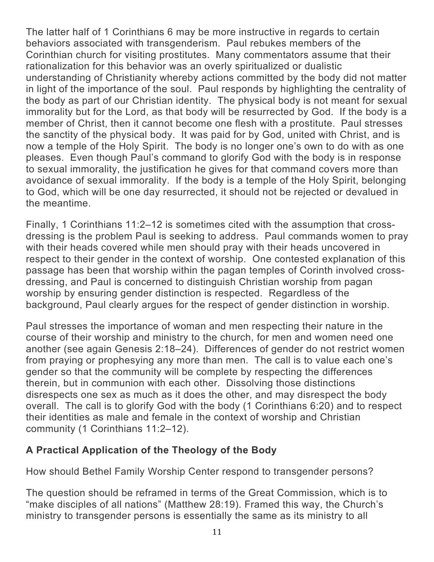The latter half of 1 Corinthians 6 may be more instructive in regards to certain behaviors associated with transgenderism. Paul rebukes members of the Corinthian church for visiting prostitutes. Many commentators assume that their rationalization for this behavior was an overly spiritualized or dualistic understanding of Christianity whereby actions committed by the body did not matter in light of the importance of the soul. Paul responds by highlighting the centrality of the body as part of our Christian identity. The physical body is not meant for sexual immorality but for the Lord, as that body will be resurrected by God. If the body is a member of Christ, then it cannot become one flesh with a prostitute. Paul stresses the sanctity of the physical body. It was paid for by God, united with Christ, and is now a temple of the Holy Spirit. The body is no longer one's own to do with as one pleases. Even though Paul's command to glorify God with the body is in response to sexual immorality, the justification he gives for that command covers more than avoidance of sexual immorality. If the body is a temple of the Holy Spirit, belonging to God, which will be one day resurrected, it should not be rejected or devalued in the meantime.

Finally, 1 Corinthians 11:2–12 is sometimes cited with the assumption that crossdressing is the problem Paul is seeking to address. Paul commands women to pray with their heads covered while men should pray with their heads uncovered in respect to their gender in the context of worship. One contested explanation of this passage has been that worship within the pagan temples of Corinth involved crossdressing, and Paul is concerned to distinguish Christian worship from pagan worship by ensuring gender distinction is respected. Regardless of the background, Paul clearly argues for the respect of gender distinction in worship.

Paul stresses the importance of woman and men respecting their nature in the course of their worship and ministry to the church, for men and women need one another (see again Genesis 2:18–24). Differences of gender do not restrict women from praying or prophesying any more than men. The call is to value each one's gender so that the community will be complete by respecting the differences therein, but in communion with each other. Dissolving those distinctions disrespects one sex as much as it does the other, and may disrespect the body overall. The call is to glorify God with the body (1 Corinthians 6:20) and to respect their identities as male and female in the context of worship and Christian community (1 Corinthians 11:2–12).

### **A Practical Application of the Theology of the Body**

How should Bethel Family Worship Center respond to transgender persons?

The question should be reframed in terms of the Great Commission, which is to "make disciples of all nations" (Matthew 28:19). Framed this way, the Church's ministry to transgender persons is essentially the same as its ministry to all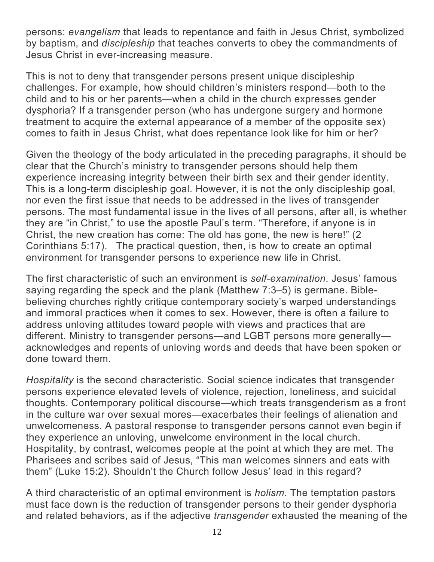persons: *evangelism* that leads to repentance and faith in Jesus Christ, symbolized by baptism, and *discipleship* that teaches converts to obey the commandments of Jesus Christ in ever-increasing measure.

This is not to deny that transgender persons present unique discipleship challenges. For example, how should children's ministers respond—both to the child and to his or her parents—when a child in the church expresses gender dysphoria? If a transgender person (who has undergone surgery and hormone treatment to acquire the external appearance of a member of the opposite sex) comes to faith in Jesus Christ, what does repentance look like for him or her?

Given the theology of the body articulated in the preceding paragraphs, it should be clear that the Church's ministry to transgender persons should help them experience increasing integrity between their birth sex and their gender identity. This is a long-term discipleship goal. However, it is not the only discipleship goal, nor even the first issue that needs to be addressed in the lives of transgender persons. The most fundamental issue in the lives of all persons, after all, is whether they are "in Christ," to use the apostle Paul's term. "Therefore, if anyone is in Christ, the new creation has come: The old has gone, the new is here!" (2 Corinthians 5:17). The practical question, then, is how to create an optimal environment for transgender persons to experience new life in Christ.

The first characteristic of such an environment is *self-examination*. Jesus' famous saying regarding the speck and the plank (Matthew 7:3–5) is germane. Biblebelieving churches rightly critique contemporary society's warped understandings and immoral practices when it comes to sex. However, there is often a failure to address unloving attitudes toward people with views and practices that are different. Ministry to transgender persons—and LGBT persons more generally acknowledges and repents of unloving words and deeds that have been spoken or done toward them.

*Hospitality* is the second characteristic. Social science indicates that transgender persons experience elevated levels of violence, rejection, loneliness, and suicidal thoughts. Contemporary political discourse—which treats transgenderism as a front in the culture war over sexual mores—exacerbates their feelings of alienation and unwelcomeness. A pastoral response to transgender persons cannot even begin if they experience an unloving, unwelcome environment in the local church. Hospitality, by contrast, welcomes people at the point at which they are met. The Pharisees and scribes said of Jesus, "This man welcomes sinners and eats with them" (Luke 15:2). Shouldn't the Church follow Jesus' lead in this regard?

A third characteristic of an optimal environment is *holism*. The temptation pastors must face down is the reduction of transgender persons to their gender dysphoria and related behaviors, as if the adjective *transgender* exhausted the meaning of the